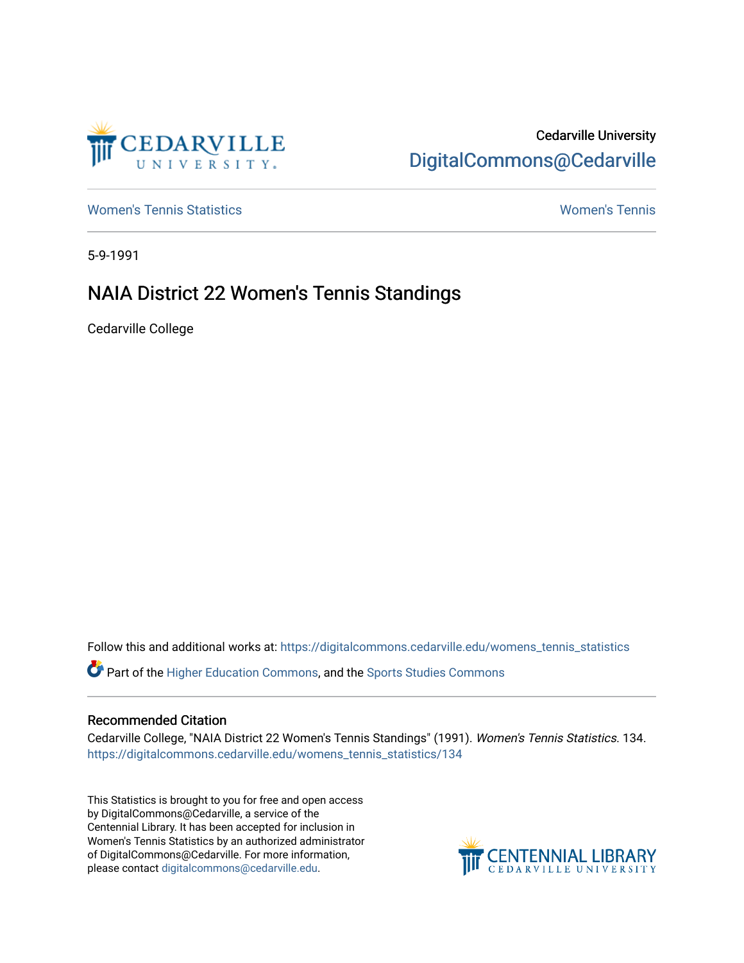

## Cedarville University [DigitalCommons@Cedarville](https://digitalcommons.cedarville.edu/)

[Women's Tennis Statistics](https://digitalcommons.cedarville.edu/womens_tennis_statistics) [Women's Tennis](https://digitalcommons.cedarville.edu/womens_tennis) 

5-9-1991

## NAIA District 22 Women's Tennis Standings

Cedarville College

Follow this and additional works at: [https://digitalcommons.cedarville.edu/womens\\_tennis\\_statistics](https://digitalcommons.cedarville.edu/womens_tennis_statistics?utm_source=digitalcommons.cedarville.edu%2Fwomens_tennis_statistics%2F134&utm_medium=PDF&utm_campaign=PDFCoverPages) 

Part of the [Higher Education Commons,](http://network.bepress.com/hgg/discipline/1245?utm_source=digitalcommons.cedarville.edu%2Fwomens_tennis_statistics%2F134&utm_medium=PDF&utm_campaign=PDFCoverPages) and the [Sports Studies Commons](http://network.bepress.com/hgg/discipline/1198?utm_source=digitalcommons.cedarville.edu%2Fwomens_tennis_statistics%2F134&utm_medium=PDF&utm_campaign=PDFCoverPages) 

### Recommended Citation

Cedarville College, "NAIA District 22 Women's Tennis Standings" (1991). Women's Tennis Statistics. 134. [https://digitalcommons.cedarville.edu/womens\\_tennis\\_statistics/134](https://digitalcommons.cedarville.edu/womens_tennis_statistics/134?utm_source=digitalcommons.cedarville.edu%2Fwomens_tennis_statistics%2F134&utm_medium=PDF&utm_campaign=PDFCoverPages) 

This Statistics is brought to you for free and open access by DigitalCommons@Cedarville, a service of the Centennial Library. It has been accepted for inclusion in Women's Tennis Statistics by an authorized administrator of DigitalCommons@Cedarville. For more information, please contact [digitalcommons@cedarville.edu](mailto:digitalcommons@cedarville.edu).